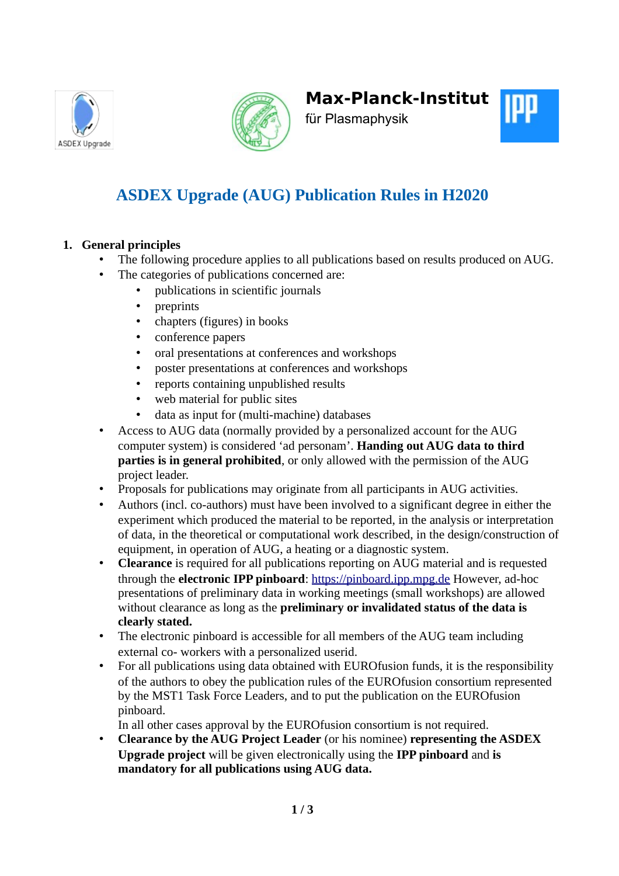





für Plasmaphysik

# **ASDEX Upgrade (AUG) Publication Rules in H2020**

## **1. General principles**

- The following procedure applies to all publications based on results produced on AUG.
- The categories of publications concerned are:
	- publications in scientific journals
	- preprints
	- chapters (figures) in books
	- conference papers
	- oral presentations at conferences and workshops
	- poster presentations at conferences and workshops
	- reports containing unpublished results
	- web material for public sites
	- data as input for (multi-machine) databases
- Access to AUG data (normally provided by a personalized account for the AUG computer system) is considered 'ad personam'. **Handing out AUG data to third parties is in general prohibited**, or only allowed with the permission of the AUG project leader.
- Proposals for publications may originate from all participants in AUG activities.
- Authors (incl. co-authors) must have been involved to a significant degree in either the experiment which produced the material to be reported, in the analysis or interpretation of data, in the theoretical or computational work described, in the design/construction of equipment, in operation of AUG, a heating or a diagnostic system.
- **Clearance** is required for all publications reporting on AUG material and is requested through the **electronic IPP pinboard**: [https://pinboard.ipp.mpg.de](https://pinboard.ipp.mpg.de/) However, ad-hoc presentations of preliminary data in working meetings (small workshops) are allowed without clearance as long as the **preliminary or invalidated status of the data is clearly stated.**
- The electronic pinboard is accessible for all members of the AUG team including external co- workers with a personalized userid.
- For all publications using data obtained with EUROfusion funds, it is the responsibility of the authors to obey the publication rules of the EUROfusion consortium represented by the MST1 Task Force Leaders, and to put the publication on the EUROfusion pinboard.

In all other cases approval by the EUROfusion consortium is not required.

• **Clearance by the AUG Project Leader** (or his nominee) **representing the ASDEX Upgrade project** will be given electronically using the **IPP pinboard** and **is mandatory for all publications using AUG data.**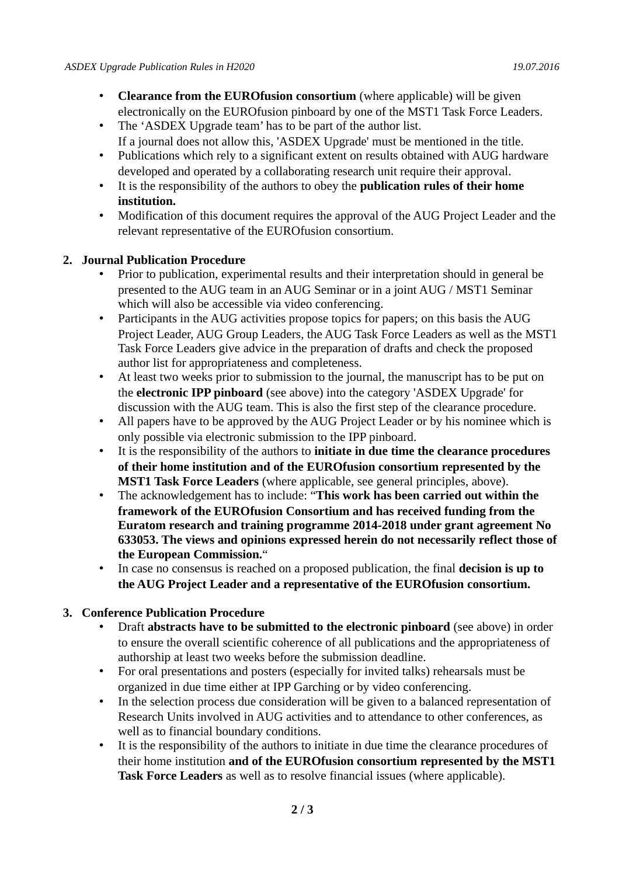- **Clearance from the EUROfusion consortium** (where applicable) will be given electronically on the EUROfusion pinboard by one of the MST1 Task Force Leaders.
- The 'ASDEX Upgrade team' has to be part of the author list. If a journal does not allow this, 'ASDEX Upgrade' must be mentioned in the title.
- Publications which rely to a significant extent on results obtained with AUG hardware developed and operated by a collaborating research unit require their approval.
- It is the responsibility of the authors to obey the **publication rules of their home institution.**
- Modification of this document requires the approval of the AUG Project Leader and the relevant representative of the EUROfusion consortium.

#### **2. Journal Publication Procedure**

- Prior to publication, experimental results and their interpretation should in general be presented to the AUG team in an AUG Seminar or in a joint AUG / MST1 Seminar which will also be accessible via video conferencing.
- Participants in the AUG activities propose topics for papers; on this basis the AUG Project Leader, AUG Group Leaders, the AUG Task Force Leaders as well as the MST1 Task Force Leaders give advice in the preparation of drafts and check the proposed author list for appropriateness and completeness.
- At least two weeks prior to submission to the journal, the manuscript has to be put on the **electronic IPP pinboard** (see above) into the category 'ASDEX Upgrade' for discussion with the AUG team. This is also the first step of the clearance procedure.
- All papers have to be approved by the AUG Project Leader or by his nominee which is only possible via electronic submission to the IPP pinboard.
- It is the responsibility of the authors to **initiate in due time the clearance procedures of their home institution and of the EUROfusion consortium represented by the MST1 Task Force Leaders** (where applicable, see general principles, above).
- The acknowledgement has to include: "**This work has been carried out within the framework of the EUROfusion Consortium and has received funding from the Euratom research and training programme 2014-2018 under grant agreement No 633053. The views and opinions expressed herein do not necessarily reflect those of the European Commission.**"
- In case no consensus is reached on a proposed publication, the final **decision is up to the AUG Project Leader and a representative of the EUROfusion consortium.**

### **3. Conference Publication Procedure**

- Draft **abstracts have to be submitted to the electronic pinboard** (see above) in order to ensure the overall scientific coherence of all publications and the appropriateness of authorship at least two weeks before the submission deadline.
- For oral presentations and posters (especially for invited talks) rehearsals must be organized in due time either at IPP Garching or by video conferencing.
- In the selection process due consideration will be given to a balanced representation of Research Units involved in AUG activities and to attendance to other conferences, as well as to financial boundary conditions.
- It is the responsibility of the authors to initiate in due time the clearance procedures of their home institution **and of the EUROfusion consortium represented by the MST1 Task Force Leaders** as well as to resolve financial issues (where applicable).